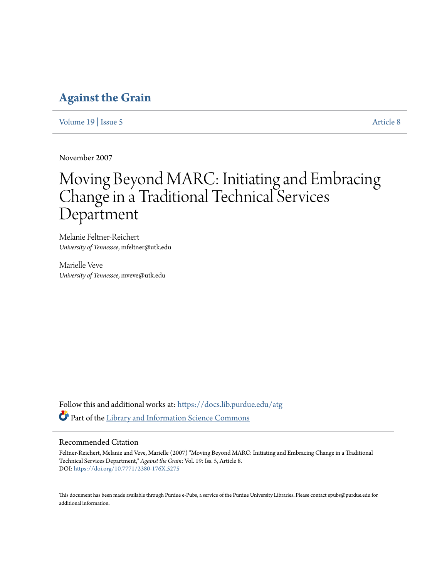# **[Against the Grain](https://docs.lib.purdue.edu/atg?utm_source=docs.lib.purdue.edu%2Fatg%2Fvol19%2Fiss5%2F8&utm_medium=PDF&utm_campaign=PDFCoverPages)**

[Volume 19](https://docs.lib.purdue.edu/atg/vol19?utm_source=docs.lib.purdue.edu%2Fatg%2Fvol19%2Fiss5%2F8&utm_medium=PDF&utm_campaign=PDFCoverPages) | [Issue 5](https://docs.lib.purdue.edu/atg/vol19/iss5?utm_source=docs.lib.purdue.edu%2Fatg%2Fvol19%2Fiss5%2F8&utm_medium=PDF&utm_campaign=PDFCoverPages) [Article 8](https://docs.lib.purdue.edu/atg/vol19/iss5/8?utm_source=docs.lib.purdue.edu%2Fatg%2Fvol19%2Fiss5%2F8&utm_medium=PDF&utm_campaign=PDFCoverPages)

November 2007

# Moving Beyond MARC: Initiating and Embracing Change in a Traditional Technical Services Department

Melanie Feltner-Reichert *University of Tennessee*, mfeltner@utk.edu

Marielle Veve *University of Tennessee*, mveve@utk.edu

Follow this and additional works at: [https://docs.lib.purdue.edu/atg](https://docs.lib.purdue.edu/atg?utm_source=docs.lib.purdue.edu%2Fatg%2Fvol19%2Fiss5%2F8&utm_medium=PDF&utm_campaign=PDFCoverPages) Part of the [Library and Information Science Commons](http://network.bepress.com/hgg/discipline/1018?utm_source=docs.lib.purdue.edu%2Fatg%2Fvol19%2Fiss5%2F8&utm_medium=PDF&utm_campaign=PDFCoverPages)

# Recommended Citation

Feltner-Reichert, Melanie and Veve, Marielle (2007) "Moving Beyond MARC: Initiating and Embracing Change in a Traditional Technical Services Department," *Against the Grain*: Vol. 19: Iss. 5, Article 8. DOI: <https://doi.org/10.7771/2380-176X.5275>

This document has been made available through Purdue e-Pubs, a service of the Purdue University Libraries. Please contact epubs@purdue.edu for additional information.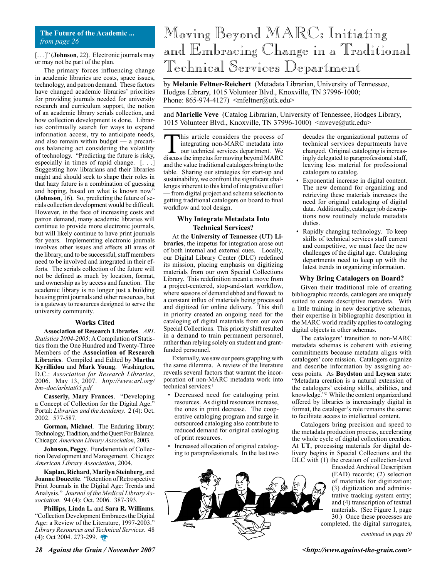#### **The Future of the Academic ...** *from page 26*

[...]" (**Johnson**, 22). Electronic journals may or may not be part of the plan.

The primary forces influencing change in academic libraries are costs, space issues, technology, and patron demand. These factors have changed academic libraries' priorities for providing journals needed for university research and curriculum support, the notion of an academic library serials collection, and how collection development is done. Libraries continually search for ways to expand information access, try to anticipate needs, and also remain within budget — a precarious balancing act considering the volatility of technology. "Predicting the future is risky, especially in times of rapid change. [. . .] Suggesting how librarians and their libraries might and should seek to shape their roles in that hazy future is a combination of guessing and hoping, based on what is known now" (**Johnson**, 16). So, predicting the future of serials collection development would be difficult. However, in the face of increasing costs and patron demand, many academic libraries will continue to provide more electronic journals, but will likely continue to have print journals for years. Implementing electronic journals involves other issues and affects all areas of the library, and to be successful, staff members need to be involved and integrated in their efforts. The serials collection of the future will not be defined as much by location, format, and ownership as by access and function. The academic library is no longer just a building housing print journals and other resources, but is a gateway to resources designed to serve the university community.

#### **Works Cited**

**Association of Research Libraries**. *ARL Statistics 2004-2005*: A Compilation of Statistics from the One Hundred and Twenty-Three Members of the **Association of Research Libraries**. Compiled and Edited by **Martha Kyrillidou** and **Mark Young**. Washington, D.C.: *Association for Research Libraries*, 2006. May 13, 2007. *http://www.arl.org/ bm~doc/arlstat05.pdf*

**Casserly, Mary Frances**. "Developing a Concept of Collection for the Digital Age." Portal: *Libraries and the Academy*. 2 (4): Oct. 2002. 577-587.

**Gorman, Michael**. The Enduring library: Technology, Tradition, and the Quest For Balance. Chicago: *American Library Association*, 2003.

**Johnson, Peggy**. Fundamentals of Collection Development and Management. Chicago: *American Library Association*, 2004.

**Kaplan, Richard**, **Marilyn Steinberg**, and **Joanne Doucette**. "Retention of Retrospective Print Journals in the Digital Age: Trends and Analysis." *Journal of the Medical Library Association*. 94 (4): Oct. 2006. 387-393.

**Phillips, Linda L.** and **Sara R. Williams**. "Collection Development Embraces the Digital Age: a Review of the Literature, 1997-2003." *Library Resources and Technical Services*. 48 (4): Oct 2004. 273-299.

# Moving Beyond MARC: Initiating and Embracing Change in a Traditional Technical Services Department

by **Melanie Feltner-Reichert** (Metadata Librarian, University of Tennessee, Hodges Library, 1015 Volunteer Blvd., Knoxville, TN 37996-1000; Phone:  $865-974-4127$ )  $\leq m \text{feltner}(\partial, \text{utk.edu})$ 

and **Marielle Veve** (Catalog Librarian, University of Tennessee, Hodges Library, 1015 Volunteer Blvd., Knoxville, TN 37996-1000) <mveve@utk.edu>

this article considers the process of integrating non-MARC metadata into our technical services department. We discuss the impetus for moving beyond MARC and the value traditional catalogers bring to the table. Sharing our strategies for start-up and sustainability, we confront the significant challenges inherent to this kind of integrative effort — from digital project and schema selection to getting traditional catalogers on board to final workflow and tool design.

#### **Why Integrate Metadata Into Technical Services?**

At the **University of Tennessee (UT) Libraries**, the impetus for integration arose out of both internal and external cues. Locally, our Digital Library Center (DLC) redefined its mission, placing emphasis on digitizing materials from our own Special Collections Library. This redefinition meant a move from a project-centered, stop-and-start workflow, where seasons of demand ebbed and flowed; to a constant influx of materials being processed and digitized for online delivery. This shift in priority created an ongoing need for the cataloging of digital materials from our own Special Collections. This priority shift resulted in a demand to train permanent personnel, rather than relying solely on student and grantfunded personnel.

Externally, we saw our peers grappling with the same dilemma. A review of the literature reveals several factors that warrant the incorporation of non-MARC metadata work into technical services:<sup>1</sup>

- Decreased need for cataloging print resources. As digital resources increase, the ones in print decrease. The cooperative cataloging program and surge in outsourced cataloging also contribute to reduced demand for original cataloging of print resources.
- Increased allocation of original cataloging to paraprofessionals. In the last two

decades the organizational patterns of technical services departments have changed. Original cataloging is increasingly delegated to paraprofessional staff, leaving less material for professional catalogers to catalog.

- Exponential increase in digital content. The new demand for organizing and retrieving these materials increases the need for original cataloging of digital data. Additionally, cataloger job descriptions now routinely include metadata duties.
- Rapidly changing technology. To keep skills of technical services staff current and competitive, we must face the new challenges of the digital age. Cataloging departments need to keep up with the latest trends in organizing information.

#### **Why Bring Catalogers on Board?**

Given their traditional role of creating bibliographic records, catalogers are uniquely suited to create descriptive metadata. With a little training in new descriptive schemas, their expertise in bibliographic description in the MARC world readily applies to cataloging digital objects in other schemas.

The catalogers' transition to non-MARC metadata schemas is coherent with existing commitments because metadata aligns with catalogers' core mission. Catalogers organize and describe information by assigning access points. As **Boydston** and **Leysen** state: "Metadata creation is a natural extension of the catalogers' existing skills, abilities, and knowledge."2 While the content organized and offered by libraries is increasingly digital in format, the cataloger's role remains the same: to facilitate access to intellectual content.

Catalogers bring precision and speed to the metadata production process, accelerating the whole cycle of digital collection creation. At **UT**, processing materials for digital delivery begins in Special Collections and the DLC with (1) the creation of collection-level

Encoded Archival Description (EAD) records; (2) selection of materials for digitization; (3) digitization and administrative tracking system entry; and (4) transcription of textual materials. (See Figure 1, page 30.) Once these processes are completed, the digital surrogates,

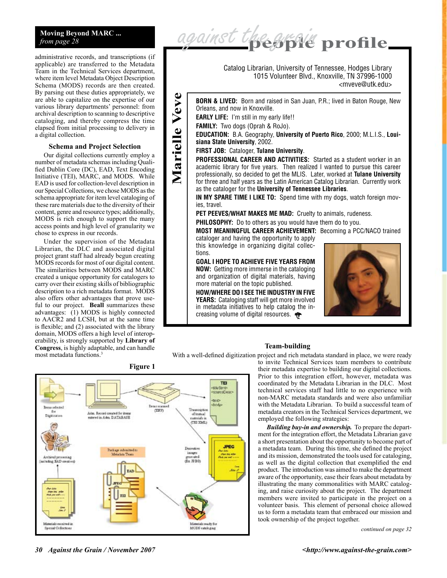# **Moving Beyond MARC ...** *from page 28*

administrative records, and transcriptions (if applicable) are transferred to the Metadata Team in the Technical Services department, where item level Metadata Object Description Schema (MODS) records are then created. By parsing out these duties appropriately, we are able to capitalize on the expertise of our various library departments' personnel: from archival description to scanning to descriptive cataloging, and thereby compress the time elapsed from initial processing to delivery in a digital collection.

### **Schema and Project Selection**

Our digital collections currently employ a number of metadata schemas including Qualified Dublin Core (DC), EAD, Text Encoding Initiative (TEI), MARC, and MODS. While EAD is used for collection-level description in our Special Collections, we chose MODS as the schema appropriate for item level cataloging of these rare materials due to the diversity of their content, genre and resource types; additionally, MODS is rich enough to support the many access points and high level of granularity we chose to express in our records.

Under the supervision of the Metadata Librarian, the DLC and associated digital project grant staff had already begun creating MODS records for most of our digital content. The similarities between MODS and MARC created a unique opportunity for catalogers to carry over their existing skills of bibliographic description to a rich metadata format. MODS also offers other advantages that prove useful to our project. **Beall** summarizes these advantages: (1) MODS is highly connected to AACR2 and LCSH, but at the same time is flexible; and (2) associated with the library domain, MODS offers a high level of interoperability, is strongly supported by **Library of Congress**, is highly adaptable, and can handle most metadata functions.<sup>3</sup>

1015 Volunteer Blvd., Knoxville, TN 37996-1000 <mveve@utk.edu> Veve **Marielle Veve Born & lived:** Born and raised in San Juan, P.R.; lived in Baton Rouge, New Orleans, and now in Knoxville. **EARLY LIFE:** I'm still in my early life!! **Family:** Two dogs (Oprah & RoJo). Marielle **Education:** B.A. Geography, **University of Puerto Rico**, 2000; M.L.I.S., **Louisiana State University**, 2002. **First job:** Cataloger, **Tulane University**. **PROFESSIONAL CAREER AND ACTIVITIES:** Started as a student worker in an academic library for five years. Then realized I wanted to pursue this career professionally, so decided to get the MLIS. Later, worked at **Tulane University** for three and half years as the Latin American Catalog Librarian. Currently work as the cataloger for the **University of Tennessee Libraries**. **IN MY SPARE TIME I LIKE TO:** Spend time with my dogs, watch foreign movies, travel. PET PEEVES/WHAT MAKES ME MAD: Cruelty to animals, rudeness. **PHILOSOPHY:** Do to others as you would have them do to you. **Most meaningful career achievement:** Becoming a PCC/NACO trained cataloger and having the opportunity to apply this knowledge in organizing digital collections. **Goal I hope to achieve five years from now:** Getting more immerse in the cataloging and organization of digital materials, having more material on the topic published. **How/Where do I see the industry in five YEARS:** Cataloging staff will get more involved in metadata initiatives to help catalog the increasing volume of digital resources.

Catalog Librarian, University of Tennessee, Hodges Library

against the grofile

#### **Team-building**

With a well-defined digitization project and rich metadata standard in place, we were ready





to invite Technical Services team members to contribute their metadata expertise to building our digital collections. Prior to this integration effort, however, metadata was coordinated by the Metadata Librarian in the DLC. Most technical services staff had little to no experience with non-MARC metadata standards and were also unfamiliar with the Metadata Librarian. To build a successful team of metadata creators in the Technical Services department, we employed the following strategies:

*Building buy-in and ownership.* To prepare the department for the integration effort, the Metadata Librarian gave a short presentation about the opportunity to become part of a metadata team. During this time, she defined the project and its mission, demonstrated the tools used for cataloging, as well as the digital collection that exemplified the end product. The introduction was aimed to make the department aware of the opportunity, ease their fears about metadata by illustrating the many commonalities with MARC cataloging, and raise curiosity about the project. The department members were invited to participate in the project on a volunteer basis. This element of personal choice allowed us to form a metadata team that embraced our mission and took ownership of the project together.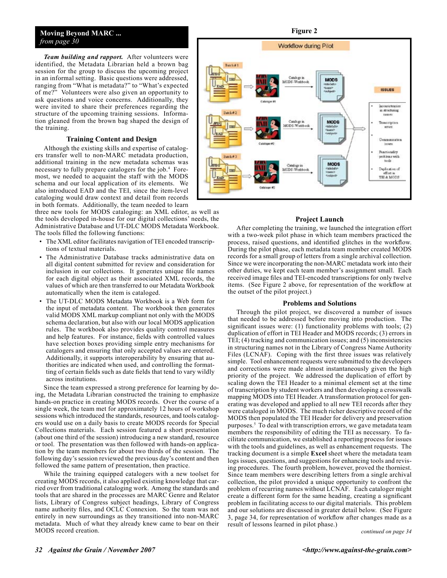### **Moving Beyond MARC ...** *from page 30*

*Team building and rapport.* After volunteers were identified, the Metadata Librarian held a brown bag session for the group to discuss the upcoming project in an informal setting. Basic questions were addressed, ranging from "What is metadata?" to "What's expected of me?" Volunteers were also given an opportunity to ask questions and voice concerns. Additionally, they were invited to share their preferences regarding the structure of the upcoming training sessions. Information gleaned from the brown bag shaped the design of the training.

#### **Training Content and Design**

Although the existing skills and expertise of catalogers transfer well to non-MARC metadata production, additional training in the new metadata schemas was necessary to fully prepare catalogers for the job.<sup>4</sup> Foremost, we needed to acquaint the staff with the MODS schema and our local application of its elements. We also introduced EAD and the TEI, since the item-level cataloging would draw context and detail from records in both formats. Additionally, the team needed to learn

three new tools for MODS cataloging: an XML editor, as well as the tools developed in-house for our digital collections' needs, the Administrative Database and UT-DLC MODS Metadata Workbook. The tools filled the following functions:

- The XML editor facilitates navigation of TEI encoded transcriptions of textual materials.
- The Administrative Database tracks administrative data on all digital content submitted for review and consideration for inclusion in our collections. It generates unique file names for each digital object as their associated XML records, the values of which are then transferred to our Metadata Workbook automatically when the item is cataloged.
- The UT-DLC MODS Metadata Workbook is a Web form for the input of metadata content. The workbook then generates valid MODS XML markup compliant not only with the MODS schema declaration, but also with our local MODS application rules. The workbook also provides quality control measures and help features. For instance, fields with controlled values have selection boxes providing simple entry mechanisms for catalogers and ensuring that only accepted values are entered. Additionally, it supports interoperability by ensuring that authorities are indicated when used, and controlling the formatting of certain fields such as date fields that tend to vary wildly across institutions.

Since the team expressed a strong preference for learning by doing, the Metadata Librarian constructed the training to emphasize hands-on practice in creating MODS records. Over the course of a single week, the team met for approximately 12 hours of workshop sessions which introduced the standards, resources, and tools catalogers would use on a daily basis to create MODS records for Special Collections materials. Each session featured a short presentation (about one third of the session) introducing a new standard, resource or tool. The presentation was then followed with hands-on application by the team members for about two thirds of the session. The following day's session reviewed the previous day's content and then followed the same pattern of presentation, then practice.

While the training equipped catalogers with a new toolset for creating MODS records, it also applied existing knowledge that carried over from traditional cataloging work. Among the standards and tools that are shared in the processes are MARC Genre and Relator lists, Library of Congress subject headings, Library of Congress name authority files, and OCLC Connexion. So the team was not entirely in new surroundings as they transitioned into non-MARC metadata. Much of what they already knew came to bear on their MODS record creation.



#### **Project Launch**

After completing the training, we launched the integration effort with a two-week pilot phase in which team members practiced the process, raised questions, and identified glitches in the workflow. During the pilot phase, each metadata team member created MODS records for a small group of letters from a single archival collection. Since we were incorporating the non-MARC metadata work into their other duties, we kept each team member's assignment small. Each received image files and TEI-encoded transcriptions for only twelve items. (See Figure 2 above, for representation of the workflow at the outset of the pilot project.)

### **Problems and Solutions**

Through the pilot project, we discovered a number of issues that needed to be addressed before moving into production. The significant issues were: (1) functionality problems with tools; (2) duplication of effort in TEI Header and MODS records; (3) errors in TEI; (4) tracking and communication issues; and (5) inconsistencies in structuring names not in the Library of Congress Name Authority Files (LCNAF). Coping with the first three issues was relatively simple. Tool enhancement requests were submitted to the developers and corrections were made almost instantaneously given the high priority of the project. We addressed the duplication of effort by scaling down the TEI Header to a minimal element set at the time of transcription by student workers and then developing a crosswalk mapping MODS into TEI Header. A transformation protocol for generating was developed and applied to all new TEI records after they were cataloged in MODS. The much richer descriptive record of the MODS then populated the TEI Header for delivery and preservation purposes.5 To deal with transcription errors, we gave metadata team members the responsibility of editing the TEI as necessary. To facilitate communication, we established a reporting process for issues with the tools and guidelines, as well as enhancement requests. The tracking document is a simple **Excel** sheet where the metadata team logs issues, questions, and suggestions for enhancing tools and revising procedures. The fourth problem, however, proved the thorniest. Since team members were describing letters from a single archival collection, the pilot provided a unique opportunity to confront the problem of recurring names without LCNAF. Each cataloger might create a different form for the same heading, creating a significant problem in facilitating access to our digital materials. This problem and our solutions are discussed in greater detail below. (See Figure 3, page 34, for representation of workflow after changes made as a result of lessons learned in pilot phase.)